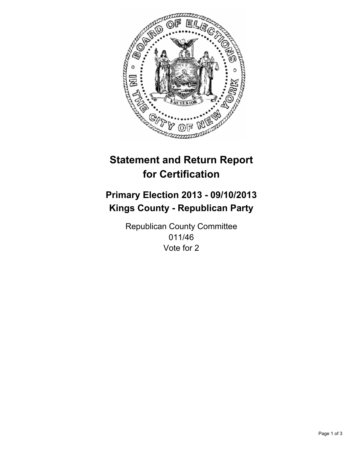

# **Statement and Return Report for Certification**

## **Primary Election 2013 - 09/10/2013 Kings County - Republican Party**

Republican County Committee 011/46 Vote for 2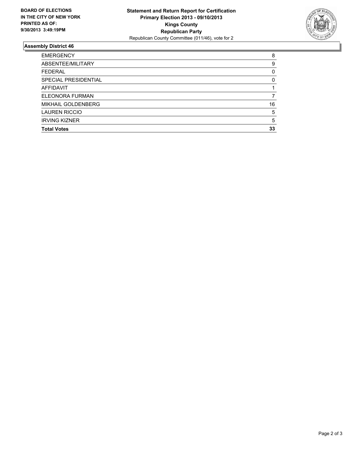

### **Assembly District 46**

| <b>EMERGENCY</b>          |    |
|---------------------------|----|
| ABSENTEE/MILITARY         | 9  |
| <b>FEDERAL</b>            | 0  |
| SPECIAL PRESIDENTIAL      | 0  |
| <b>AFFIDAVIT</b>          |    |
| ELEONORA FURMAN           |    |
| <b>MIKHAIL GOLDENBERG</b> | 16 |
| <b>LAUREN RICCIO</b>      | 5  |
| <b>IRVING KIZNER</b>      | 5  |
| <b>Total Votes</b>        | 33 |